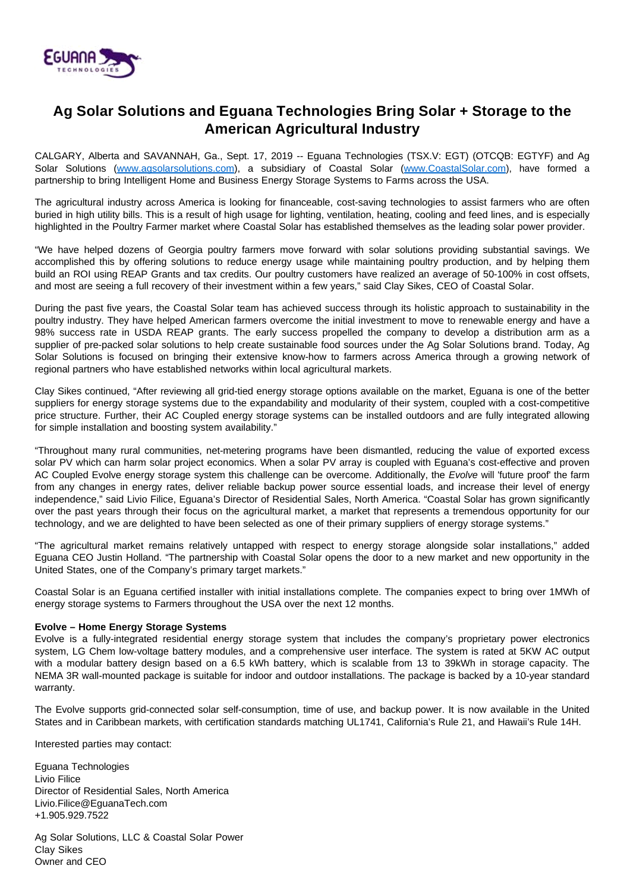

# **Ag Solar Solutions and Eguana Technologies Bring Solar + Storage to the American Agricultural Industry**

CALGARY, Alberta and SAVANNAH, Ga., Sept. 17, 2019 -- Eguana Technologies (TSX.V: EGT) (OTCQB: EGTYF) and Ag Solar Solutions ([www.agsolarsolutions.com](http://www.agsolarsolutions.com/)), a subsidiary of Coastal Solar ([www.CoastalSolar.com\)](http://www.coastalsolar.com/), have formed a partnership to bring Intelligent Home and Business Energy Storage Systems to Farms across the USA.

The agricultural industry across America is looking for financeable, cost-saving technologies to assist farmers who are often buried in high utility bills. This is a result of high usage for lighting, ventilation, heating, cooling and feed lines, and is especially highlighted in the Poultry Farmer market where Coastal Solar has established themselves as the leading solar power provider.

"We have helped dozens of Georgia poultry farmers move forward with solar solutions providing substantial savings. We accomplished this by offering solutions to reduce energy usage while maintaining poultry production, and by helping them build an ROI using REAP Grants and tax credits. Our poultry customers have realized an average of 50-100% in cost offsets, and most are seeing a full recovery of their investment within a few years," said Clay Sikes, CEO of Coastal Solar.

During the past five years, the Coastal Solar team has achieved success through its holistic approach to sustainability in the poultry industry. They have helped American farmers overcome the initial investment to move to renewable energy and have a 98% success rate in USDA REAP grants. The early success propelled the company to develop a distribution arm as a supplier of pre-packed solar solutions to help create sustainable food sources under the Ag Solar Solutions brand. Today, Ag Solar Solutions is focused on bringing their extensive know-how to farmers across America through a growing network of regional partners who have established networks within local agricultural markets.

Clay Sikes continued, "After reviewing all grid-tied energy storage options available on the market, Eguana is one of the better suppliers for energy storage systems due to the expandability and modularity of their system, coupled with a cost-competitive price structure. Further, their AC Coupled energy storage systems can be installed outdoors and are fully integrated allowing for simple installation and boosting system availability."

"Throughout many rural communities, net-metering programs have been dismantled, reducing the value of exported excess solar PV which can harm solar project economics. When a solar PV array is coupled with Eguana's cost-effective and proven AC Coupled Evolve energy storage system this challenge can be overcome. Additionally, the Evolve will 'future proof' the farm from any changes in energy rates, deliver reliable backup power source essential loads, and increase their level of energy independence," said Livio Filice, Eguana's Director of Residential Sales, North America. "Coastal Solar has grown significantly over the past years through their focus on the agricultural market, a market that represents a tremendous opportunity for our technology, and we are delighted to have been selected as one of their primary suppliers of energy storage systems."

"The agricultural market remains relatively untapped with respect to energy storage alongside solar installations," added Eguana CEO Justin Holland. "The partnership with Coastal Solar opens the door to a new market and new opportunity in the United States, one of the Company's primary target markets."

Coastal Solar is an Eguana certified installer with initial installations complete. The companies expect to bring over 1MWh of energy storage systems to Farmers throughout the USA over the next 12 months.

## **Evolve – Home Energy Storage Systems**

Evolve is a fully-integrated residential energy storage system that includes the company's proprietary power electronics system, LG Chem low-voltage battery modules, and a comprehensive user interface. The system is rated at 5KW AC output with a modular battery design based on a 6.5 kWh battery, which is scalable from 13 to 39kWh in storage capacity. The NEMA 3R wall-mounted package is suitable for indoor and outdoor installations. The package is backed by a 10-year standard warranty.

The Evolve supports grid-connected solar self-consumption, time of use, and backup power. It is now available in the United States and in Caribbean markets, with certification standards matching UL1741, California's Rule 21, and Hawaii's Rule 14H.

Interested parties may contact:

Eguana Technologies Livio Filice Director of Residential Sales, North America Livio.Filice@EguanaTech.com +1.905.929.7522

Ag Solar Solutions, LLC & Coastal Solar Power Clay Sikes Owner and CEO